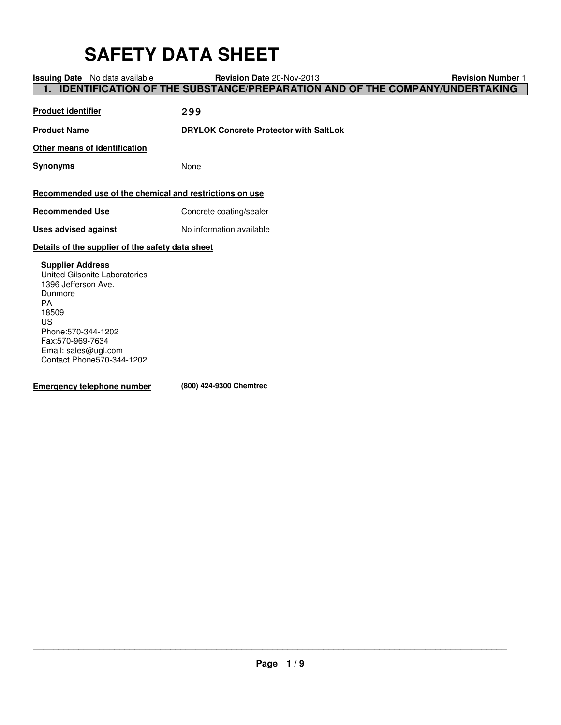# **SAFETY DATA SHEET**

| <b>Issuing Date</b> No data available                   | <b>Revision Date 20-Nov-2013</b>                                                  | <b>Revision Number 1</b> |
|---------------------------------------------------------|-----------------------------------------------------------------------------------|--------------------------|
|                                                         | <b>IDENTIFICATION OF THE SUBSTANCE/PREPARATION AND OF THE COMPANY/UNDERTAKING</b> |                          |
|                                                         |                                                                                   |                          |
| <b>Product identifier</b>                               | 299                                                                               |                          |
|                                                         |                                                                                   |                          |
| <b>Product Name</b>                                     | <b>DRYLOK Concrete Protector with SaltLok</b>                                     |                          |
|                                                         |                                                                                   |                          |
| Other means of identification                           |                                                                                   |                          |
| <b>Synonyms</b>                                         | None                                                                              |                          |
|                                                         |                                                                                   |                          |
|                                                         |                                                                                   |                          |
| Recommended use of the chemical and restrictions on use |                                                                                   |                          |
| <b>Recommended Use</b>                                  | Concrete coating/sealer                                                           |                          |
|                                                         |                                                                                   |                          |
| <b>Uses advised against</b>                             | No information available                                                          |                          |
| Details of the supplier of the safety data sheet        |                                                                                   |                          |
| <b>Supplier Address</b>                                 |                                                                                   |                          |
| United Gilsonite Laboratories                           |                                                                                   |                          |
| 1396 Jefferson Ave.                                     |                                                                                   |                          |
| Dunmore                                                 |                                                                                   |                          |
| <b>PA</b>                                               |                                                                                   |                          |
| 18509                                                   |                                                                                   |                          |
| US                                                      |                                                                                   |                          |
| Phone: 570-344-1202                                     |                                                                                   |                          |
| Fax:570-969-7634                                        |                                                                                   |                          |
| Email: sales@ugl.com<br>Contact Phone570-344-1202       |                                                                                   |                          |
|                                                         |                                                                                   |                          |
| <b>Emergency telephone number</b>                       | (800) 424-9300 Chemtrec                                                           |                          |
|                                                         |                                                                                   |                          |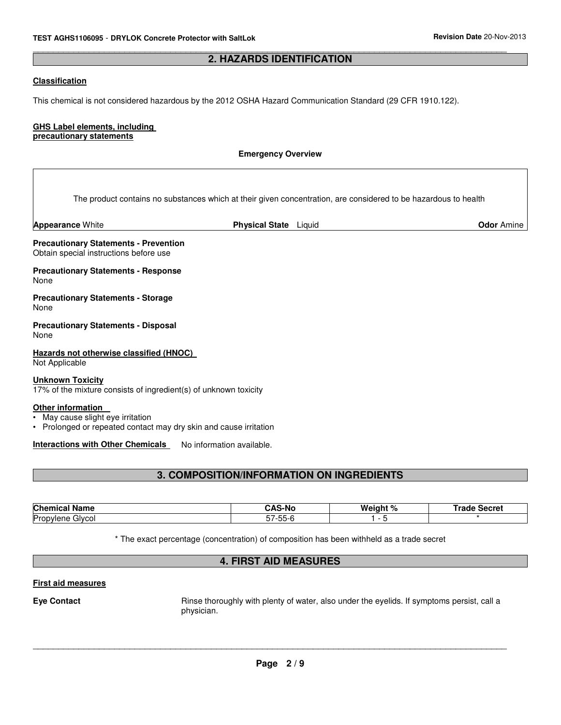#### \_\_\_\_\_\_\_\_\_\_\_\_\_\_\_\_\_\_\_\_\_\_\_\_\_\_\_\_\_\_\_\_\_\_\_\_\_\_\_\_\_\_\_\_\_\_\_\_\_\_\_\_\_\_\_\_\_\_\_\_\_\_\_\_\_\_\_\_\_\_\_\_\_\_\_\_\_\_\_\_\_\_\_\_\_\_\_\_\_\_\_\_\_ **2. HAZARDS IDENTIFICATION**

# **Classification**

This chemical is not considered hazardous by the 2012 OSHA Hazard Communication Standard (29 CFR 1910.122).

#### **GHS Label elements, including precautionary statements**

#### **Emergency Overview**

The product contains no substances which at their given concentration, are considered to be hazardous to health

**Appearance** White **Physical State** Liquid **Odor** Amine

**Precautionary Statements - Prevention** Obtain special instructions before use

**Precautionary Statements - Response** None

**Precautionary Statements - Storage** None

**Precautionary Statements - Disposal** None

**Hazards not otherwise classified (HNOC)**  Not Applicable

#### **Unknown Toxicity**

17% of the mixture consists of ingredient(s) of unknown toxicity

#### **Other information**

• May cause slight eye irritation

• Prolonged or repeated contact may dry skin and cause irritation

**Interactions with Other Chemicals** No information available.

# **3. COMPOSITION/INFORMATION ON INGREDIENTS**

| <b>Chemical</b><br>Name | ۰^c<br>S-Nc                                           | Weight % | <b>Secret</b><br><b>Fradr</b> |
|-------------------------|-------------------------------------------------------|----------|-------------------------------|
| Propylene<br>Givcol     | $- -$<br>--<br>$\overline{\phantom{a}}$<br>ט-ככל<br>ິ |          |                               |
|                         |                                                       |          |                               |

\* The exact percentage (concentration) of composition has been withheld as a trade secret

# **4. FIRST AID MEASURES**

#### **First aid measures**

**Eye Contact Exercise Exercise Exercise Server** Rinse thoroughly with plenty of water, also under the eyelids. If symptoms persist, call a physician.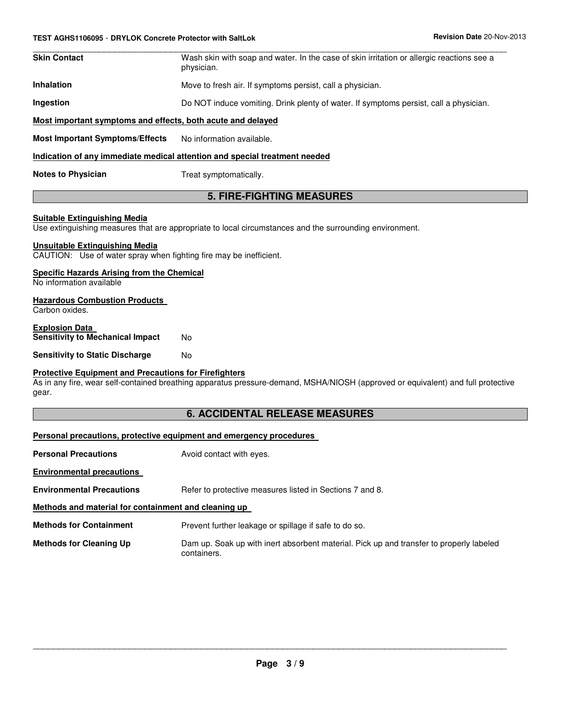| <b>Skin Contact</b>                                         | Wash skin with soap and water. In the case of skin irritation or allergic reactions see a<br>physician. |  |
|-------------------------------------------------------------|---------------------------------------------------------------------------------------------------------|--|
| <b>Inhalation</b>                                           | Move to fresh air. If symptoms persist, call a physician.                                               |  |
| Ingestion                                                   | Do NOT induce vomiting. Drink plenty of water. If symptoms persist, call a physician.                   |  |
| Most important symptoms and effects, both acute and delayed |                                                                                                         |  |
| <b>Most Important Symptoms/Effects</b>                      | No information available.                                                                               |  |

# **Indication of any immediate medical attention and special treatment needed**

**Notes to Physician** Treat symptomatically.

# **5. FIRE-FIGHTING MEASURES**

#### **Suitable Extinguishing Media**

Use extinguishing measures that are appropriate to local circumstances and the surrounding environment.

#### **Unsuitable Extinguishing Media**

CAUTION: Use of water spray when fighting fire may be inefficient.

#### **Specific Hazards Arising from the Chemical**

No information available

#### **Hazardous Combustion Products**

Carbon oxides.

#### **Explosion Data Sensitivity to Mechanical Impact No**

**Sensitivity to Static Discharge No** 

#### **Protective Equipment and Precautions for Firefighters**

As in any fire, wear self-contained breathing apparatus pressure-demand, MSHA/NIOSH (approved or equivalent) and full protective gear.

# **6. ACCIDENTAL RELEASE MEASURES**

#### **Personal precautions, protective equipment and emergency procedures**

| <b>Personal Precautions</b>                          | Avoid contact with eyes.                                                                               |
|------------------------------------------------------|--------------------------------------------------------------------------------------------------------|
| <b>Environmental precautions</b>                     |                                                                                                        |
| <b>Environmental Precautions</b>                     | Refer to protective measures listed in Sections 7 and 8.                                               |
| Methods and material for containment and cleaning up |                                                                                                        |
| <b>Methods for Containment</b>                       | Prevent further leakage or spillage if safe to do so.                                                  |
| <b>Methods for Cleaning Up</b>                       | Dam up. Soak up with inert absorbent material. Pick up and transfer to properly labeled<br>containers. |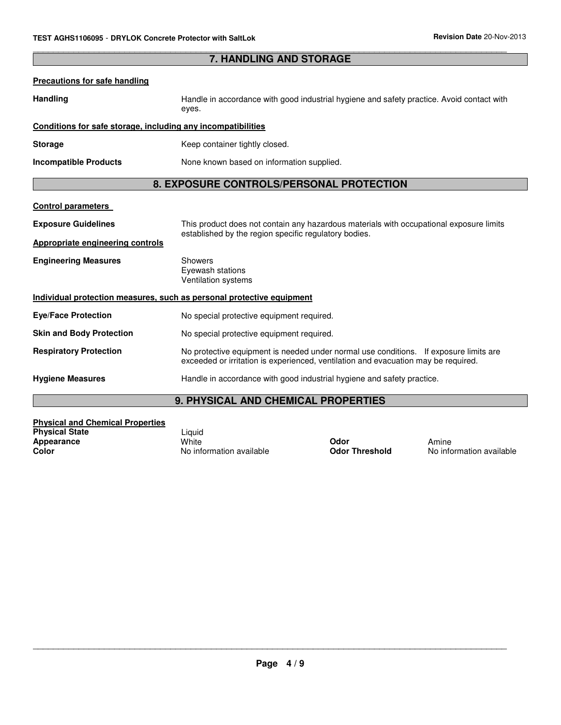| <b>7. HANDLING AND STORAGE</b>                                        |                                                                                                                                                                             |  |
|-----------------------------------------------------------------------|-----------------------------------------------------------------------------------------------------------------------------------------------------------------------------|--|
| <b>Precautions for safe handling</b>                                  |                                                                                                                                                                             |  |
| <b>Handling</b>                                                       | Handle in accordance with good industrial hygiene and safety practice. Avoid contact with<br>eyes.                                                                          |  |
| Conditions for safe storage, including any incompatibilities          |                                                                                                                                                                             |  |
| <b>Storage</b>                                                        | Keep container tightly closed.                                                                                                                                              |  |
| <b>Incompatible Products</b>                                          | None known based on information supplied.                                                                                                                                   |  |
| 8. EXPOSURE CONTROLS/PERSONAL PROTECTION                              |                                                                                                                                                                             |  |
| <b>Control parameters</b>                                             |                                                                                                                                                                             |  |
| <b>Exposure Guidelines</b>                                            | This product does not contain any hazardous materials with occupational exposure limits<br>established by the region specific regulatory bodies.                            |  |
| <b>Appropriate engineering controls</b>                               |                                                                                                                                                                             |  |
| <b>Engineering Measures</b>                                           | Showers<br>Eyewash stations<br>Ventilation systems                                                                                                                          |  |
| Individual protection measures, such as personal protective equipment |                                                                                                                                                                             |  |
| <b>Eye/Face Protection</b>                                            | No special protective equipment required.                                                                                                                                   |  |
| <b>Skin and Body Protection</b>                                       | No special protective equipment required.                                                                                                                                   |  |
| <b>Respiratory Protection</b>                                         | No protective equipment is needed under normal use conditions. If exposure limits are<br>exceeded or irritation is experienced, ventilation and evacuation may be required. |  |
| <b>Hygiene Measures</b>                                               | Handle in accordance with good industrial hygiene and safety practice.                                                                                                      |  |

\_\_\_\_\_\_\_\_\_\_\_\_\_\_\_\_\_\_\_\_\_\_\_\_\_\_\_\_\_\_\_\_\_\_\_\_\_\_\_\_\_\_\_\_\_\_\_\_\_\_\_\_\_\_\_\_\_\_\_\_\_\_\_\_\_\_\_\_\_\_\_\_\_\_\_\_\_\_\_\_\_\_\_\_\_\_\_\_\_\_\_\_\_

# **9. PHYSICAL AND CHEMICAL PROPERTIES**

| <b>Physical and Chemical Properties</b> |                          |                       |         |
|-----------------------------------------|--------------------------|-----------------------|---------|
| <b>Physical State</b>                   | Liauid                   |                       |         |
| Appearance                              | White                    | Odor                  | Amine   |
| Color                                   | No information available | <b>Odor Threshold</b> | No info |

**Color** No information available **Odor Threshold** No information available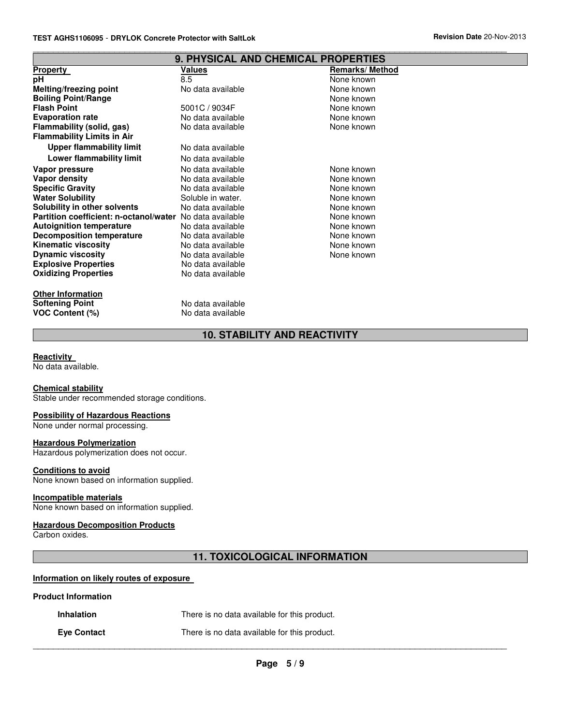|                                                                 | <b>9. PHYSICAL AND CHEMICAL PROPERTIES</b> |                       |
|-----------------------------------------------------------------|--------------------------------------------|-----------------------|
| Property                                                        | Values                                     | <b>Remarks/Method</b> |
| рH                                                              | 8.5                                        | None known            |
| Melting/freezing point                                          | No data available                          | None known            |
| <b>Boiling Point/Range</b>                                      |                                            | None known            |
| <b>Flash Point</b>                                              | 5001C / 9034F                              | None known            |
| <b>Evaporation rate</b>                                         | No data available                          | None known            |
| Flammability (solid, gas)                                       | No data available                          | None known            |
| <b>Flammability Limits in Air</b>                               |                                            |                       |
| <b>Upper flammability limit</b>                                 | No data available                          |                       |
| Lower flammability limit                                        | No data available                          |                       |
| Vapor pressure                                                  | No data available                          | None known            |
| Vapor density                                                   | No data available                          | None known            |
| <b>Specific Gravity</b>                                         | No data available                          | None known            |
| <b>Water Solubility</b>                                         | Soluble in water.                          | None known            |
| Solubility in other solvents                                    | No data available                          | None known            |
| <b>Partition coefficient: n-octanol/water</b> No data available |                                            | None known            |
| <b>Autoignition temperature</b>                                 | No data available                          | None known            |
| <b>Decomposition temperature</b>                                | No data available                          | None known            |
| <b>Kinematic viscosity</b>                                      | No data available                          | None known            |
| <b>Dynamic viscosity</b>                                        | No data available                          | None known            |
| <b>Explosive Properties</b>                                     | No data available                          |                       |
| <b>Oxidizing Properties</b>                                     | No data available                          |                       |
| <b>Other Information</b>                                        |                                            |                       |

**10. STABILITY AND REACTIVITY**

\_\_\_\_\_\_\_\_\_\_\_\_\_\_\_\_\_\_\_\_\_\_\_\_\_\_\_\_\_\_\_\_\_\_\_\_\_\_\_\_\_\_\_\_\_\_\_\_\_\_\_\_\_\_\_\_\_\_\_\_\_\_\_\_\_\_\_\_\_\_\_\_\_\_\_\_\_\_\_\_\_\_\_\_\_\_\_\_\_\_\_\_\_

#### **Reactivity**

No data available.

**VOC Content (%)** 

#### **Chemical stability**

Stable under recommended storage conditions.

**Softening Point**<br> **VOC Content (%)**<br>
No data available<br>
No data available

#### **Possibility of Hazardous Reactions**

None under normal processing.

#### **Hazardous Polymerization**

Hazardous polymerization does not occur.

# **Conditions to avoid**

None known based on information supplied.

#### **Incompatible materials**

None known based on information supplied.

# **Hazardous Decomposition Products**

Carbon oxides.

# **11. TOXICOLOGICAL INFORMATION**

# **Information on likely routes of exposure**

#### **Product Information**

|  | <b>Inhalation</b> | There is no data available for this product. |
|--|-------------------|----------------------------------------------|
|--|-------------------|----------------------------------------------|

**Eye Contact** There is no data available for this product.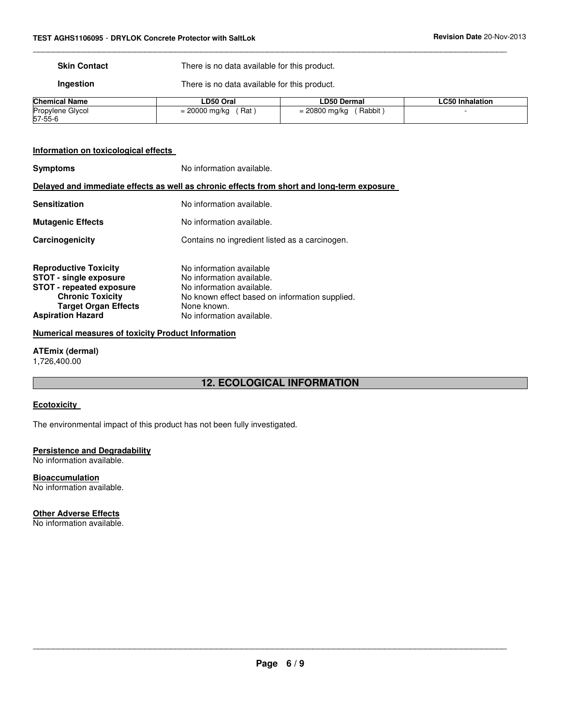**Skin Contact** There is no data available for this product.

\_\_\_\_\_\_\_\_\_\_\_\_\_\_\_\_\_\_\_\_\_\_\_\_\_\_\_\_\_\_\_\_\_\_\_\_\_\_\_\_\_\_\_\_\_\_\_\_\_\_\_\_\_\_\_\_\_\_\_\_\_\_\_\_\_\_\_\_\_\_\_\_\_\_\_\_\_\_\_\_\_\_\_\_\_\_\_\_\_\_\_\_\_

**Ingestion** There is no data available for this product.

| <b>Chemical Name</b>        | LD50 Oral               | <b>LD50 Dermal</b>        | <b>LC50 Inhalation</b> |
|-----------------------------|-------------------------|---------------------------|------------------------|
| Propylene Glycol<br>57-55-6 | (Rat<br>$= 20000$ mg/kg | Rabbit<br>$= 20800$ mg/kg |                        |
|                             |                         |                           |                        |

# **Information on toxicological effects**

| <b>Symptoms</b>                                                                                                                                            | No information available.                                                                                                                           |  |  |
|------------------------------------------------------------------------------------------------------------------------------------------------------------|-----------------------------------------------------------------------------------------------------------------------------------------------------|--|--|
| Delayed and immediate effects as well as chronic effects from short and long-term exposure                                                                 |                                                                                                                                                     |  |  |
| <b>Sensitization</b>                                                                                                                                       | No information available.                                                                                                                           |  |  |
| <b>Mutagenic Effects</b>                                                                                                                                   | No information available.                                                                                                                           |  |  |
| Carcinogenicity                                                                                                                                            | Contains no ingredient listed as a carcinogen.                                                                                                      |  |  |
| <b>Reproductive Toxicity</b><br><b>STOT - single exposure</b><br><b>STOT - repeated exposure</b><br><b>Chronic Toxicity</b><br><b>Target Organ Effects</b> | No information available<br>No information available.<br>No information available.<br>No known effect based on information supplied.<br>None known. |  |  |
| <b>Aspiration Hazard</b>                                                                                                                                   | No information available.                                                                                                                           |  |  |

#### **Numerical measures of toxicity Product Information**

**ATEmix (dermal)** 1,726,400.00

# **12. ECOLOGICAL INFORMATION**

#### **Ecotoxicity**

The environmental impact of this product has not been fully investigated.

#### **Persistence and Degradability**

No information available.

**Bioaccumulation** No information available.

# **Other Adverse Effects**

No information available.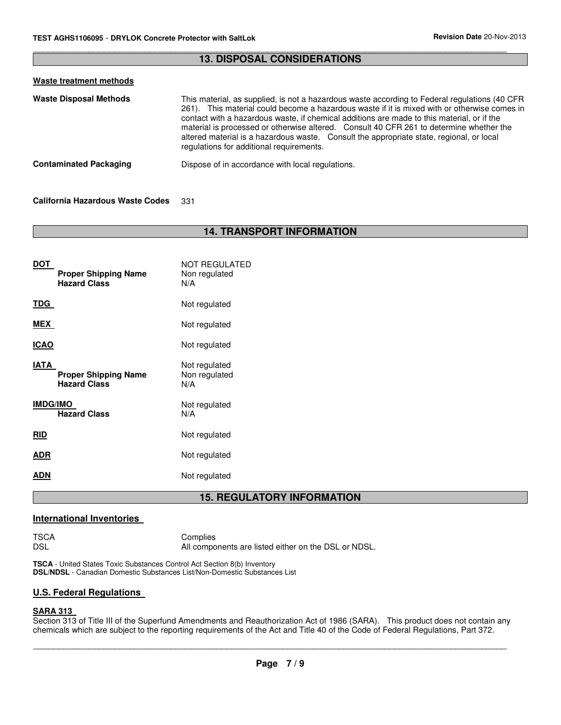| <b>13. DISPOSAL CONSIDERATIONS</b> |                                                                                                                                                                                                                                                                                                                                                                                                                                                                                                                                |  |
|------------------------------------|--------------------------------------------------------------------------------------------------------------------------------------------------------------------------------------------------------------------------------------------------------------------------------------------------------------------------------------------------------------------------------------------------------------------------------------------------------------------------------------------------------------------------------|--|
| Waste treatment methods            |                                                                                                                                                                                                                                                                                                                                                                                                                                                                                                                                |  |
| <b>Waste Disposal Methods</b>      | This material, as supplied, is not a hazardous waste according to Federal regulations (40 CFR<br>261). This material could become a hazardous waste if it is mixed with or otherwise comes in<br>contact with a hazardous waste, if chemical additions are made to this material, or if the<br>material is processed or otherwise altered. Consult 40 CFR 261 to determine whether the<br>altered material is a hazardous waste. Consult the appropriate state, regional, or local<br>regulations for additional requirements. |  |
| <b>Contaminated Packaging</b>      | Dispose of in accordance with local regulations.                                                                                                                                                                                                                                                                                                                                                                                                                                                                               |  |

\_\_\_\_\_\_\_\_\_\_\_\_\_\_\_\_\_\_\_\_\_\_\_\_\_\_\_\_\_\_\_\_\_\_\_\_\_\_\_\_\_\_\_\_\_\_\_\_\_\_\_\_\_\_\_\_\_\_\_\_\_\_\_\_\_\_\_\_\_\_\_\_\_\_\_\_\_\_\_\_\_\_\_\_\_\_\_\_\_\_\_\_\_

## **California Hazardous Waste Codes** 331

# **14. TRANSPORT INFORMATION**

| <b>DOT</b><br><b>Proper Shipping Name</b><br><b>Hazard Class</b> | NOT REGULATED<br>Non regulated<br>N/A |
|------------------------------------------------------------------|---------------------------------------|
| TDG                                                              | Not regulated                         |
| MEX                                                              | Not regulated                         |
| <b>ICAO</b>                                                      | Not regulated                         |
| IATA<br><b>Proper Shipping Name</b><br><b>Hazard Class</b>       | Not regulated<br>Non regulated<br>N/A |
| <b>IMDG/IMO</b><br><b>Hazard Class</b>                           | Not regulated<br>N/A                  |
| <b>RID</b>                                                       | Not regulated                         |
| ADR                                                              | Not regulated                         |
| ADN                                                              | Not regulated                         |
|                                                                  | <b>BEAU</b><br>. .                    |

# **15. REGULATORY INFORMATION**

# **International Inventories**

TSCA Complies<br>DSL All compo All components are listed either on the DSL or NDSL.

**TSCA** - United States Toxic Substances Control Act Section 8(b) Inventory **DSL/NDSL** - Canadian Domestic Substances List/Non-Domestic Substances List

# **U.S. Federal Regulations**

# **SARA 313**

Section 313 of Title III of the Superfund Amendments and Reauthorization Act of 1986 (SARA). This product does not contain any chemicals which are subject to the reporting requirements of the Act and Title 40 of the Code of Federal Regulations, Part 372.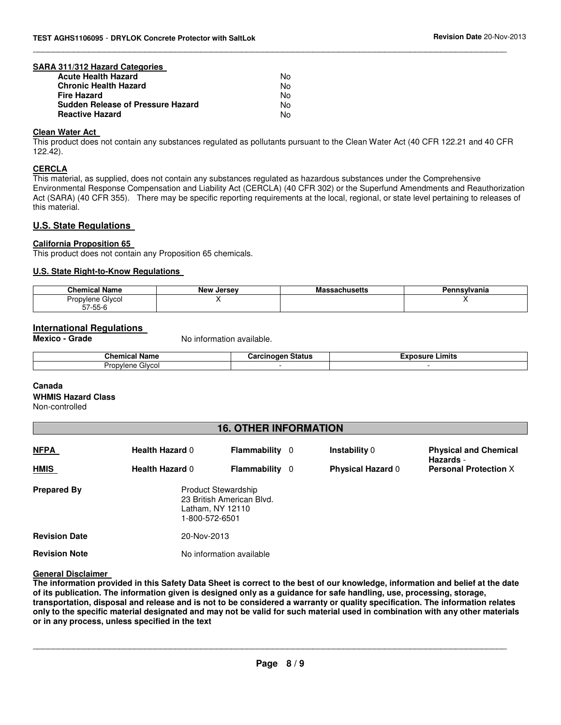#### **SARA 311/312 Hazard Categories**

| <b>Acute Health Hazard</b>               | N٥  |
|------------------------------------------|-----|
| <b>Chronic Health Hazard</b>             | N٥  |
| <b>Fire Hazard</b>                       | N٥  |
| <b>Sudden Release of Pressure Hazard</b> | N٥  |
| <b>Reactive Hazard</b>                   | No. |
|                                          |     |

#### **Clean Water Act**

This product does not contain any substances regulated as pollutants pursuant to the Clean Water Act (40 CFR 122.21 and 40 CFR 122.42).

\_\_\_\_\_\_\_\_\_\_\_\_\_\_\_\_\_\_\_\_\_\_\_\_\_\_\_\_\_\_\_\_\_\_\_\_\_\_\_\_\_\_\_\_\_\_\_\_\_\_\_\_\_\_\_\_\_\_\_\_\_\_\_\_\_\_\_\_\_\_\_\_\_\_\_\_\_\_\_\_\_\_\_\_\_\_\_\_\_\_\_\_\_

#### **CERCLA**

This material, as supplied, does not contain any substances regulated as hazardous substances under the Comprehensive Environmental Response Compensation and Liability Act (CERCLA) (40 CFR 302) or the Superfund Amendments and Reauthorization Act (SARA) (40 CFR 355). There may be specific reporting requirements at the local, regional, or state level pertaining to releases of this material.

#### **U.S. State Regulations**

#### **California Proposition 65**

This product does not contain any Proposition 65 chemicals.

#### **U.S. State Right-to-Know Regulations**

| Chemical Name                        | <b>New Jersey</b> | 56 I S | ™vania |
|--------------------------------------|-------------------|--------|--------|
| Glycol<br>Propulane<br>$57 - 55 - 6$ |                   |        |        |
|                                      |                   |        |        |

#### **International Regulations**

**Mexico - Grade No information available.** 

| <b>Chamise</b><br>$\sim$<br>---<br>.<br>vame                | .<br><br><br>nu.<br>Ja. | Limits<br> |
|-------------------------------------------------------------|-------------------------|------------|
| $\frac{1}{2}$ $\frac{1}{2}$<br>مصصاب<br>ر بر و_<br>ושט<br>. |                         |            |
|                                                             |                         |            |

#### **Canada**

#### **WHMIS Hazard Class**

Non-controlled

# **16. OTHER INFORMATION**

| <u>NFPA</u>          | <b>Health Hazard 0</b> | Flammability<br>-0                                                                            | <b>Instability 0</b>     | <b>Physical and Chemical</b>              |
|----------------------|------------------------|-----------------------------------------------------------------------------------------------|--------------------------|-------------------------------------------|
| <b>HMIS</b>          | <b>Health Hazard 0</b> | Flammability<br>-0                                                                            | <b>Physical Hazard 0</b> | Hazards -<br><b>Personal Protection X</b> |
| <b>Prepared By</b>   |                        | <b>Product Stewardship</b><br>23 British American Blvd.<br>Latham, NY 12110<br>1-800-572-6501 |                          |                                           |
| <b>Revision Date</b> | 20-Nov-2013            |                                                                                               |                          |                                           |
| <b>Revision Note</b> |                        | No information available                                                                      |                          |                                           |

#### **General Disclaimer**

**The information provided in this Safety Data Sheet is correct to the best of our knowledge, information and belief at the date of its publication. The information given is designed only as a guidance for safe handling, use, processing, storage, transportation, disposal and release and is not to be considered a warranty or quality specification. The information relates only to the specific material designated and may not be valid for such material used in combination with any other materials or in any process, unless specified in the text**